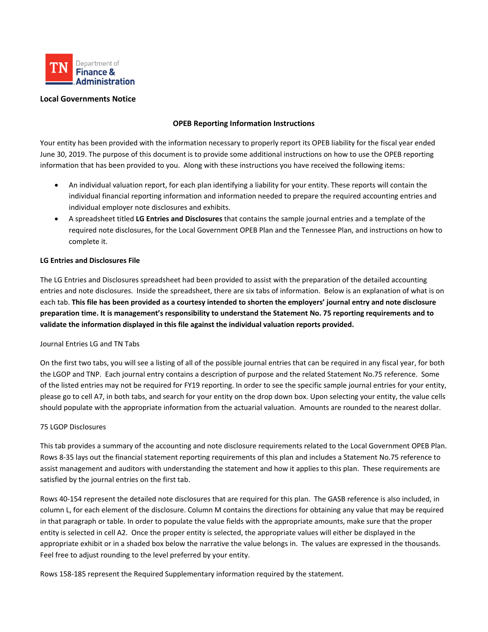

# **Local Governments Notice**

# **OPEB Reporting Information Instructions**

Your entity has been provided with the information necessary to properly report its OPEB liability for the fiscal year ended June 30, 2019. The purpose of this document is to provide some additional instructions on how to use the OPEB reporting information that has been provided to you. Along with these instructions you have received the following items:

- An individual valuation report, for each plan identifying a liability for your entity. These reports will contain the individual financial reporting information and information needed to prepare the required accounting entries and individual employer note disclosures and exhibits.
- A spreadsheet titled **LG Entries and Disclosures** that contains the sample journal entries and a template of the required note disclosures, for the Local Government OPEB Plan and the Tennessee Plan, and instructions on how to complete it.

## **LG Entries and Disclosures File**

The LG Entries and Disclosures spreadsheet had been provided to assist with the preparation of the detailed accounting entries and note disclosures. Inside the spreadsheet, there are six tabs of information. Below is an explanation of what is on each tab. **This file has been provided as a courtesy intended to shorten the employers' journal entry and note disclosure preparation time. It is management's responsibility to understand the Statement No. 75 reporting requirements and to validate the information displayed in this file against the individual valuation reports provided.**

### Journal Entries LG and TN Tabs

On the first two tabs, you will see a listing of all of the possible journal entries that can be required in any fiscal year, for both the LGOP and TNP. Each journal entry contains a description of purpose and the related Statement No.75 reference. Some of the listed entries may not be required for FY19 reporting. In order to see the specific sample journal entries for your entity, please go to cell A7, in both tabs, and search for your entity on the drop down box. Upon selecting your entity, the value cells should populate with the appropriate information from the actuarial valuation. Amounts are rounded to the nearest dollar.

### 75 LGOP Disclosures

This tab provides a summary of the accounting and note disclosure requirements related to the Local Government OPEB Plan. Rows 8-35 lays out the financial statement reporting requirements of this plan and includes a Statement No.75 reference to assist management and auditors with understanding the statement and how it applies to this plan. These requirements are satisfied by the journal entries on the first tab.

Rows 40-154 represent the detailed note disclosures that are required for this plan. The GASB reference is also included, in column L, for each element of the disclosure. Column M contains the directions for obtaining any value that may be required in that paragraph or table. In order to populate the value fields with the appropriate amounts, make sure that the proper entity is selected in cell A2. Once the proper entity is selected, the appropriate values will either be displayed in the appropriate exhibit or in a shaded box below the narrative the value belongs in. The values are expressed in the thousands. Feel free to adjust rounding to the level preferred by your entity.

Rows 158-185 represent the Required Supplementary information required by the statement.